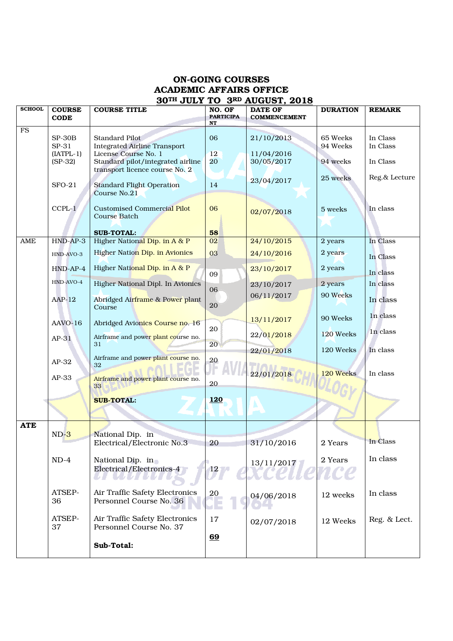## ON-GOING COURSES ACADEMIC AFFAIRS OFFICE 30TH JULY TO 3RD AUGUST, 2018

| <b>SCHOOL</b> | <b>COURSE</b><br><b>CODE</b>                  | <b>COURSE TITLE</b>                                                                                                                                  | NO. OF<br><b>PARTICIPA</b><br>NT | <b>DATE OF</b><br><b>COMMENCEMENT</b>  | <b>DURATION</b>                    | <b>REMARK</b>                    |
|---------------|-----------------------------------------------|------------------------------------------------------------------------------------------------------------------------------------------------------|----------------------------------|----------------------------------------|------------------------------------|----------------------------------|
| ${\rm FS}$    | $SP-30B$<br>SP-31<br>$[IATPL-1]$<br>$(SP-32)$ | Standard Pilot<br><b>Integrated Airline Transport</b><br>License Course No. 1<br>Standard pilot/integrated airline<br>transport licence course No. 2 | 06<br>12<br>20 <sup>°</sup>      | 21/10/2013<br>11/04/2016<br>30/05/2017 | 65 Weeks<br>94 Weeks<br>94 weeks   | In Class<br>In Class<br>In Class |
|               | $SFO-21$<br>$CCPL-1$                          | <b>Standard Flight Operation</b><br>Course No.21<br><b>Customised Commercial Pilot</b><br><b>Course Batch</b><br><b>SUB-TOTAL:</b>                   | 14<br>06<br>58                   | 23/04/2017<br>02/07/2018               | 25 weeks<br>5 weeks                | Reg.& Lecture<br>In class        |
| AME           | $HND-AP-3$<br>HND-AVO-3                       | Higher National Dip. in A & P<br><b>Higher Nation Dip. in Avionics</b>                                                                               | 02<br>03                         | 24/10/2015<br>24/10/2016               | 2 years<br>2 years                 | In Class<br>In Class             |
|               | $HND-AP-4$<br>HND-AVO-4<br>$AAP-12$           | Higher National Dip. in A & P<br>Higher National Dipl. In Avionics<br>Abridged Airframe & Power plant                                                | 09<br>06<br>20                   | 23/10/2017<br>23/10/2017<br>06/11/2017 | 2 years<br>2 years<br>90 Weeks     | In class<br>In class<br>In class |
|               | AAVO-16<br>$AP-31$                            | Course<br>Abridged Avionics Course no. 16<br>Airframe and power plant course no.<br>31                                                               | 20<br>20                         | 13/11/2017<br>22/01/2018<br>22/01/2018 | 90 Weeks<br>120 Weeks<br>120 Weeks | In class<br>In class<br>In class |
|               | $AP-32$<br>$AP-33$                            | Airframe and power plant course no.<br>32<br>Airframe and power plant course no.<br>33                                                               | 20<br>20                         | 22/01/2018                             | 120 Weeks                          | In class                         |
|               |                                               | <b>SUB-TOTAL:</b>                                                                                                                                    | <b>120</b>                       |                                        |                                    |                                  |
| <b>ATE</b>    | $ND-3$                                        | National Dip. in<br>Electrical/Electronic No.3                                                                                                       | 20                               | 31/10/2016                             | 2 Years                            | In Class                         |
|               | $ND-4$                                        | National Dip. in<br>Electrical/Electronics-4                                                                                                         | $12\sqrt{ }$                     | 13/11/2017                             | 2 Years                            | In class                         |
|               | ATSEP-<br>36                                  | Air Traffic Safety Electronics<br>Personnel Course No. 36                                                                                            | 20                               | 04/06/2018                             | 12 weeks                           | In class                         |
|               | ATSEP-<br>37                                  | Air Traffic Safety Electronics<br>Personnel Course No. 37<br>Sub-Total:                                                                              | 17<br>69                         | 02/07/2018                             | 12 Weeks                           | Reg. & Lect.                     |